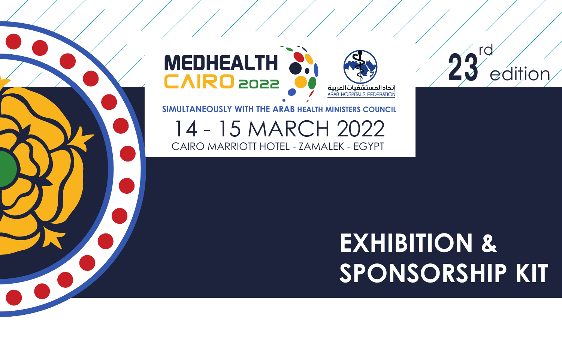## **EXHIBITION & SPONSORSHIP KIT**



#### **SIMULTANEOUSLY WITH THE ARAB HEALTH MINISTERS COUNCIL**

14 - 15 MARCH 2022 CAIRO MARRIOTT HOTEL - ZAMALEK - EGYPT

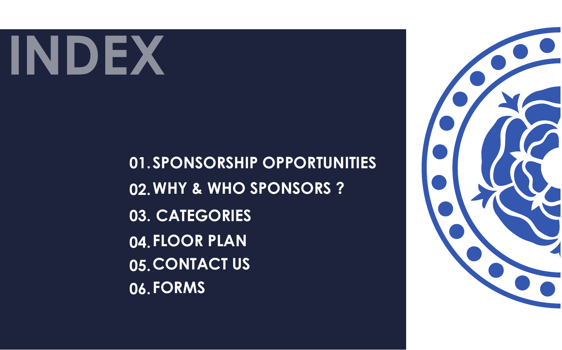**01. SPONSORSHIP OPPORTUNITIES 02. WHY & WHO SPONSORS ? 03. CATEGORIES 04. FLOOR PLAN 05. CONTACT US 06. FORMS**



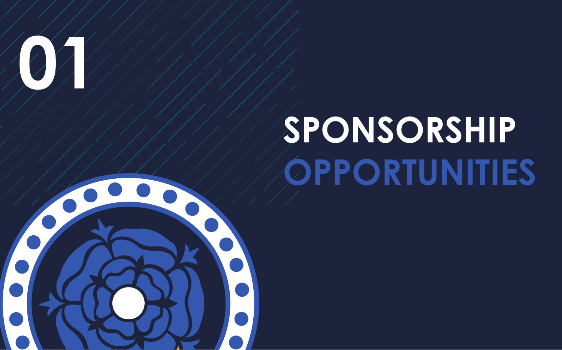

# **SPONSORSHIP OPPORTUNITIES**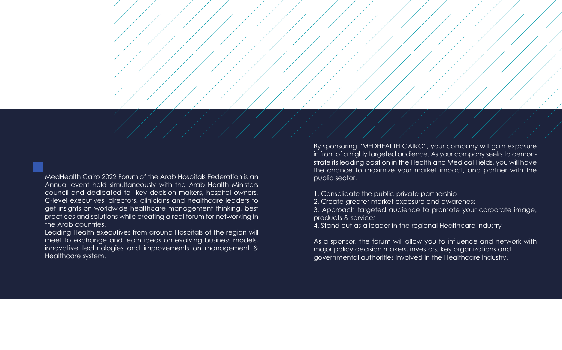MedHealth Cairo 2022 Forum of the Arab Hospitals Federation is an Annual event held simultaneously with the Arab Health Ministers council and dedicated to key decision makers, hospital owners, C-level executives, directors, clinicians and healthcare leaders to get insights on worldwide healthcare management thinking, best practices and solutions while creating a real forum for networking in the Arab countries.

Leading Health executives from around Hospitals of the region will meet to exchange and learn ideas on evolving business models, innovative technologies and improvements on management & Healthcare system.

By sponsoring "MEDHEALTH CAIRO", your company will gain exposure in front of a highly targeted audience. As your company seeks to demonstrate its leading position in the Health and Medical Fields, you will have the chance to maximize your market impact, and partner with the public sector.

1. Consolidate the public-private-partnership 2. Create greater market exposure and awareness 3. Approach targeted audience to promote your corporate image, products & services 4. Stand out as a leader in the regional Healthcare industry

As a sponsor, the forum will allow you to influence and network with major policy decision makers, investors, key organizations and governmental authorities involved in the Healthcare industry.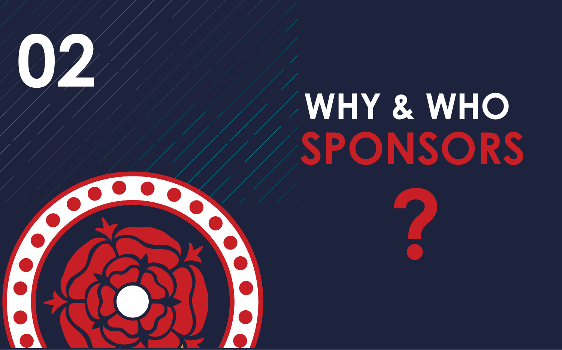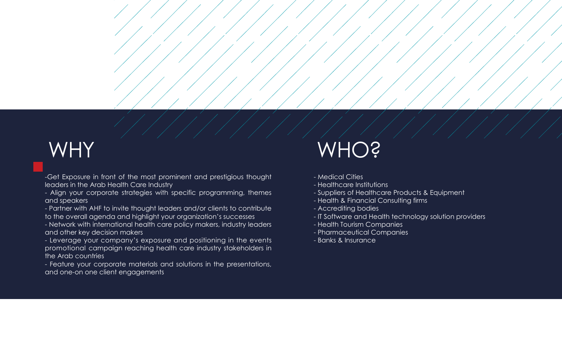-Get Exposure in front of the most prominent and prestigious thought leaders in the Arab Health Care Industry

- Align your corporate strategies with specific programming, themes and speakers

- Partner with AHF to invite thought leaders and/or clients to contribute to the overall agenda and highlight your organization's successes

- Network with international health care policy makers, industry leaders and other key decision makers

- Leverage your company's exposure and positioning in the events promotional campaign reaching health care industry stakeholders in the Arab countries

- Feature your corporate materials and solutions in the presentations, and one-on one client engagements

### WHY

- Medical Cities
- Healthcare Institutions
- Suppliers of Healthcare Products & Equipment
- Health & Financial Consulting firms
- Accrediting bodies
- 
- Health Tourism Companies
- Pharmaceutical Companies
- Banks & Insurance



- IT Software and Health technology solution providers

### WHO?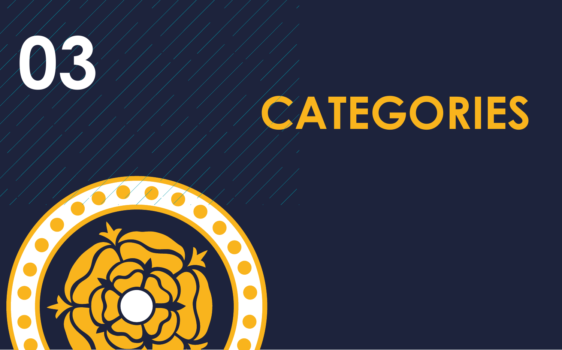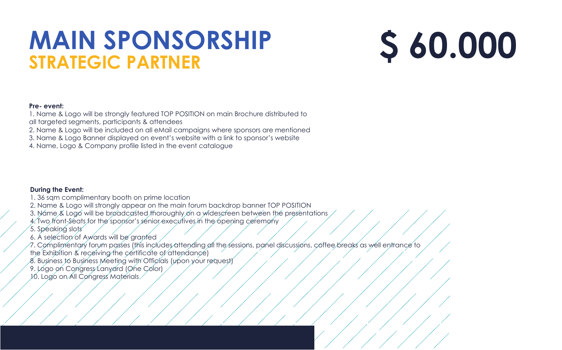### **MAIN SPONSORSHIP STRATEGIC PARTNER**

#### **Pre- event:**

1. Name & Logo will be strongly featured TOP POSITION on main Brochure distributed to

- 1. 36 sqm complimentary booth on prime location
- 2. Name & Logo will strongly appear on the main forum backdrop banner TOP POSITION
- 3. Name & Logo will be broadcasted thoroughly on a widescreen between the presentations
- 4. Two front-Seats for the sponsor's senior executives in the opening ceremony
- 5. Speaking slots
- 6. A selection of Awards will be granted
- 7. Complimentary forum passes (this includes attending all the sessions, panel discussions, coffee breaks as well entrance to the Exhibition & receiving the certificate of attendance)
- 8. Business to Business Meeting with Officials (upon your request)
- 9. Logo on Congress Lanyard (One Color)
- 10. Logo on All Congress Materials
- all targeted segments, participants & attendees
- 2. Name & Logo will be included on all eMail campaigns where sponsors are mentioned
- 3. Name & Logo Banner displayed on event's website with a link to sponsor's website
- 4. Name, Logo & Company profile listed in the event catalogue

#### **During the Event:**

# **\$ 60.000**

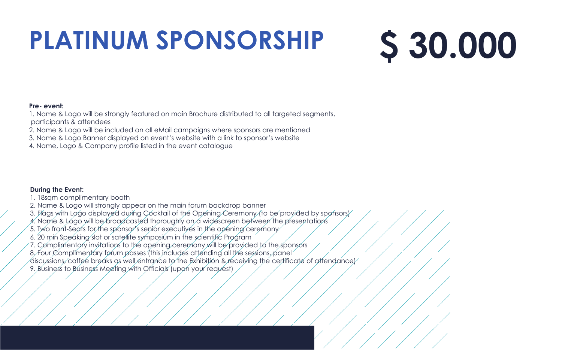# **PLATINUM SPONSORSHIP**



#### **Pre- event:**

1. Name & Logo will be strongly featured on main Brochure distributed to all targeted segments, participants & attendees

- 2. Name & Logo will be included on all eMail campaigns where sponsors are mentioned
- 3. Name & Logo Banner displayed on event's website with a link to sponsor's website
- 4. Name, Logo & Company profile listed in the event catalogue

#### **During the Event:**

- 1. 18sqm complimentary booth
- 2. Name & Logo will strongly appear on the main forum backdrop banner
- 3. Flags with Logo displayed during Cocktail of the Opening Ceremony (to be provided by sponsors)
- 4. Name & Logo will be broadcasted thoroughly on a widescreen between the presentations
- 5. Two front-Seats for the sponsor's senior executives in the opening ceremony
- 6. 20 min Speaking slot or satellite symposium in the scientific Program
- 7. Complimentary invitations to the opening ceremony will be provided to the sponsors
- 8, Four Complimentary forum passes (this includes attending all the sessions, panel
- discussions, coffee breaks as well entrance to the Exhibition & receiving the certificate of attendance) 9. Business to Business Meeting with Officials (upon your request)

# **\$ 30.000**

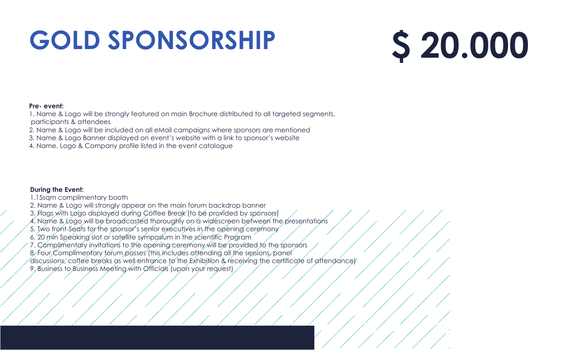# **GOLD SPONSORSHIP**

#### **Pre- event:**

1. Name & Logo will be strongly featured on main Brochure distributed to all targeted segments, participants & attendees

- 2. Name & Logo will be included on all eMail campaigns where sponsors are mentioned
- 3. Name & Logo Banner displayed on event's website with a link to sponsor's website
- 4. Name, Logo & Company profile listed in the event catalogue

#### **During the Event:**

- 1.15sqm complimentary booth
- 2. Name & Logo will strongly appear on the main forum backdrop banner
- 3. Flags with Løgo displayed during Coffee Break (to be provided by sponsors)
- $4.$  Name & Logo will be broadcasted thoroughly on a widescreen between the presentations
- 5. Two front-Seats for the sponsor's senior executives in the opening ceremony
- 6. 20 min Speaking slot or satellite symposium in the scientific Program
- 7. Complimentary invitations to the opening ceremony will be provided to the sponsors
- 8. Four Complimentary forum passes (this includes attending all the sessions, panel
- discussions, coffee breaks as well entrance to the Exhibition & receiving the certificate of attendance) 9. Business to Business Meeting with Officials (upon your request)

# **\$ 20.000**

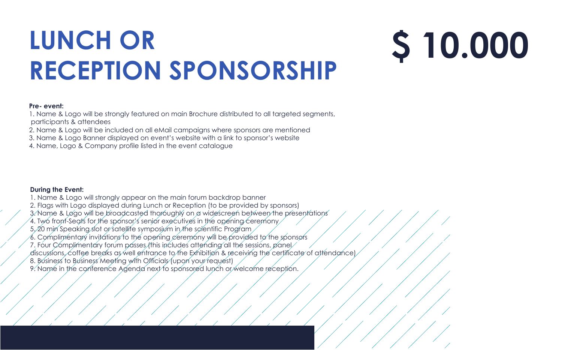# **LUNCH OR RECEPTION SPONSORSHIP**

#### **Pre- event:**

1. Name & Logo will be strongly featured on main Brochure distributed to all targeted segments, participants & attendees

- 2. Name & Logo will be included on all eMail campaigns where sponsors are mentioned
- 3. Name & Logo Banner displayed on event's website with a link to sponsor's website
- 4. Name, Logo & Company profile listed in the event catalogue

#### **During the Event:**

- 1. Name & Logo will strongly appear on the main forum backdrop banner
- 2. Flags with Logo displayed during Lunch or Reception (to be provided by sponsors)
- 3. Name & Logo will be broadcasted thoroughly on a widescreen between the presentations
- 4. Two front-Seats for the sponsor's senior executives in the opening ceremony
- 5. 20 min Speaking slot or satellite symposium in the scientific Program
- 6. Complimentary invitations to the opening ceremony will be provided to the sponsors
- 7. Four Complimentary forum passes (this includes attending all the sessions, panel
- discussions, coffee breaks as well entrance to the Exhibition & receiving the certificate of attendance) 8. Business to Business Meeting with Officials (upon your request)
- 9. Name in the conference Agenda next to sponsored lunch or welcome reception.

# **\$ 10.000**

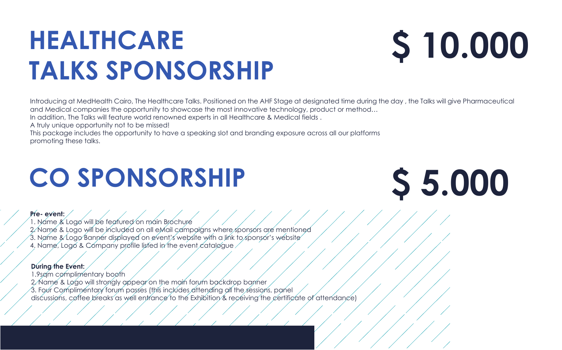## **CO SPONSORSHIP**

1. Name & Logo will be featured on main Brochure 2. Name & Logo will be included on all eMail campaigns where sponsors are mentioned 3. Name & Logo Banner displayed on event's website with a link to sponsor's website 4. Name, Logo & Company profile listed in the event catalogue

#### **Pre- event:**

1.9sqm complimentary booth 2. Name & Logo will strongly appear on the main forum backdrop banner 3. Four Complimentary forum passes (this includes attending all the sessions, panel discussions, coffee breaks as well entrance to the Exhibition  $\&$  receiving the certificate of attendance)

#### **During the Event:**

# **\$ 5.000**

# **HEALTHCARE TALKS SPONSORSHIP**

Introducing at MedHealth Cairo, The Healthcare Talks. Positioned on the AHF Stage at designated time during the day , the Talks will give Pharmaceutical and Medical companies the opportunity to showcase the most innovative technology, product or method… In addition, The Talks will feature world renowned experts in all Healthcare & Medical fields .

A truly unique opportunity not to be missed!

This package includes the opportunity to have a speaking slot and branding exposure across all our platforms promoting these talks.

# **\$ 10.000**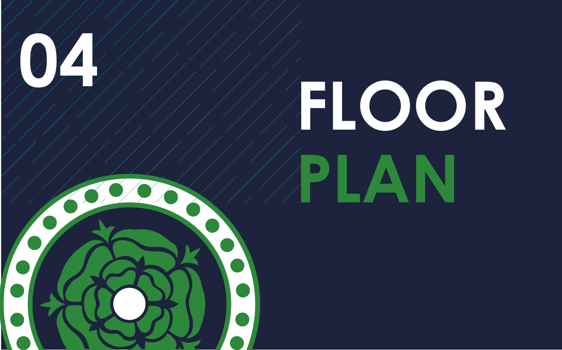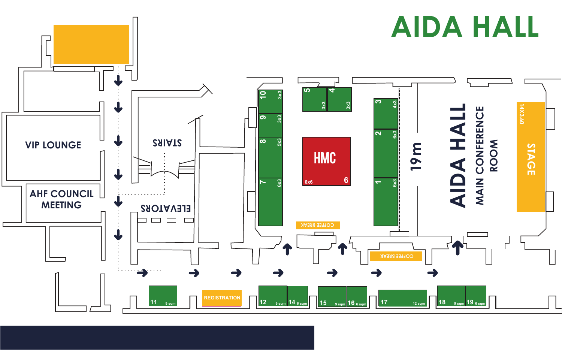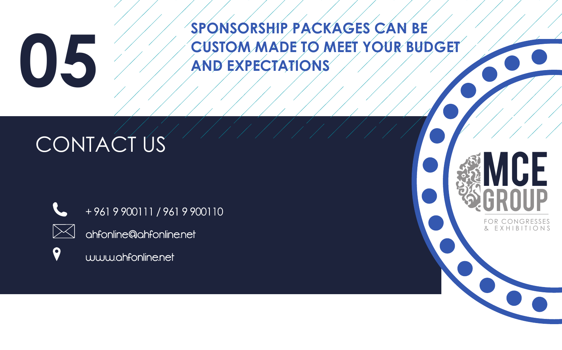**SPONSORSHIP PACKAGES CAN BE CUSTOM MADE TO MEET YOUR BUDGET AND EXPECTATIONS**

### CONTACT US



+9619900111/9619900110



 $\boldsymbol{Q}$ 

ahfonline@ahfonline.net



### MCE **GROUP** FOR CONGRESSES

E X H I B I T I

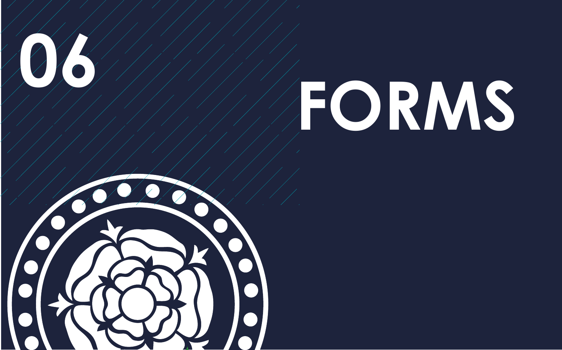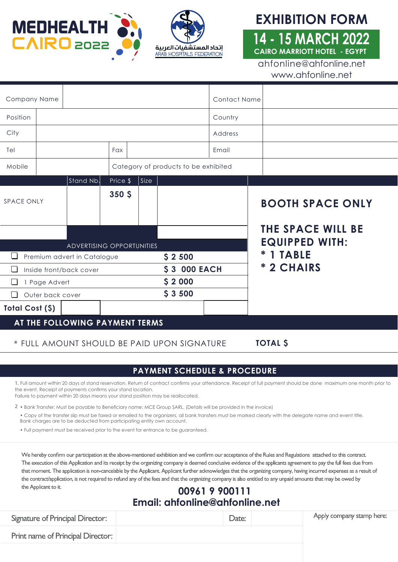



#### **EXHIBITION FORM**

#### **14 - 15 MARCH 2022 CAIRO MARRIOTT HOTEL - EGYPT**

ahfonline@ahfonline.net www.ahfonline.net

| Company Name                   |  |                                      |                  |      |                     | <b>Contact Name</b> |                                                     |  |  |
|--------------------------------|--|--------------------------------------|------------------|------|---------------------|---------------------|-----------------------------------------------------|--|--|
| Position                       |  |                                      |                  |      |                     | Country             |                                                     |  |  |
| City                           |  |                                      |                  |      |                     | Address             |                                                     |  |  |
| Tel                            |  |                                      | Fax              |      |                     | Email               |                                                     |  |  |
| Mobile                         |  | Category of products to be exhibited |                  |      |                     |                     |                                                     |  |  |
|                                |  | Stand Nb.                            | Price \$         | Size |                     |                     |                                                     |  |  |
| <b>SPACE ONLY</b>              |  |                                      | 350 <sub>5</sub> |      |                     |                     | <b>BOOTH SPACE ONLY</b><br><b>THE SPACE WILL BE</b> |  |  |
|                                |  |                                      |                  |      |                     |                     | <b>EQUIPPED WITH:</b>                               |  |  |
|                                |  | ADVERTISING OPPORTUNITIES            |                  |      |                     |                     |                                                     |  |  |
|                                |  | Premium advert in Catalogue          |                  |      | \$2500              |                     | * 1 TABLE                                           |  |  |
|                                |  | Inside front/back cover              |                  |      | <b>\$3 000 EACH</b> |                     | * 2 CHAIRS                                          |  |  |
| 1 Page Advert                  |  |                                      |                  |      | \$2000              |                     |                                                     |  |  |
| Outer back cover               |  |                                      | \$3500           |      |                     |                     |                                                     |  |  |
| Total Cost (\$)                |  |                                      |                  |      |                     |                     |                                                     |  |  |
| AT THE FOLLOWING PAYMENT TERMS |  |                                      |                  |      |                     |                     |                                                     |  |  |

#### **\*** FULL AMOUNT SHOULD BE PAID UPON SIGNATURE

**TOTAL \$**

#### **PAYMENT SCHEDULE & PROCEDURE**

**1.** Full amount within 20 days of stand reservation. Return of contract confirms your attendance. Receipt of full payment should be done maximum one month prior to the event. Receipt of payments confirms your stand location.

Failure to payment within 20 days means your stand position may be reallocated.

• Bank Transfer: Must be payable to Beneficiary name: MCE Group SARL. (Details will be provided in the invoice) **2**

• Copy of the transfer slip must be faxed or emailed to the organizers, all bank transfers must be marked clearly with the delegate name and event title. Bank charges are to be deducted from participating entity own account.

• Full payment must be received prior to the event for entrance to be guaranteed.

We hereby confirm our participation at the above-mentioned exhibition and we confirm our acceptance of the Rules and Regulations attached to this contract. The execution of this Application and its receipt by the organizing company is deemed condusive evidence of the applicants agreement to pay the full fees due from that moment. The application is non-cancelable by the Applicant. Applicant further acknowledges that the organizing company, having incurred expenses as a result of the contract/application, is not required to refund any of the fees and that the organizing company is also entitled to any unpaid amounts that may be owed by the Applicant to it.

#### Fax to: **00961 9 900111 Email: ahfonline@ahfonline.net**

| <b>Signature of Principal Director:</b> | Date: | Apply company stamp here: |
|-----------------------------------------|-------|---------------------------|
| Print name of Principal Director:       |       |                           |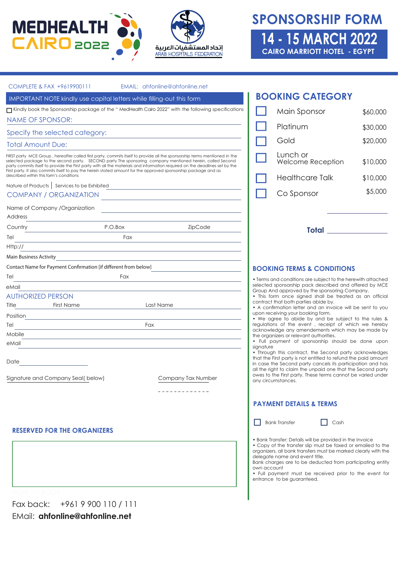



#### **SPONSORSHIP FORM 14 - 15 MARCH 2022**

**CAIRO MARRIOTT HOTEL - EGYPT** 

| COMPLETE & FAX +9619900111                                                                                                                                                                                                                                                                                                                                                                                                                                                               |                                                                                                                                                                                                                               | EMAIL: ahfonline@ahfonline.net                                                                       |                                                                                                                                                                                                                                                                                                                                         |                                                                                                                                                                                                                                                                                  |          |  |
|------------------------------------------------------------------------------------------------------------------------------------------------------------------------------------------------------------------------------------------------------------------------------------------------------------------------------------------------------------------------------------------------------------------------------------------------------------------------------------------|-------------------------------------------------------------------------------------------------------------------------------------------------------------------------------------------------------------------------------|------------------------------------------------------------------------------------------------------|-----------------------------------------------------------------------------------------------------------------------------------------------------------------------------------------------------------------------------------------------------------------------------------------------------------------------------------------|----------------------------------------------------------------------------------------------------------------------------------------------------------------------------------------------------------------------------------------------------------------------------------|----------|--|
| IMPORTANT NOTE kindly use capital letters while filling-out this form                                                                                                                                                                                                                                                                                                                                                                                                                    |                                                                                                                                                                                                                               |                                                                                                      |                                                                                                                                                                                                                                                                                                                                         | <b>BOOKING CATEGORY</b>                                                                                                                                                                                                                                                          |          |  |
|                                                                                                                                                                                                                                                                                                                                                                                                                                                                                          |                                                                                                                                                                                                                               | Kindly book the Sponsorship package of the " MedHealth Cairo 2022" with the following specifications |                                                                                                                                                                                                                                                                                                                                         | Main Sponsor                                                                                                                                                                                                                                                                     | \$60,000 |  |
| <b>NAME OF SPONSOR:</b>                                                                                                                                                                                                                                                                                                                                                                                                                                                                  |                                                                                                                                                                                                                               |                                                                                                      |                                                                                                                                                                                                                                                                                                                                         |                                                                                                                                                                                                                                                                                  |          |  |
| Specify the selected category:                                                                                                                                                                                                                                                                                                                                                                                                                                                           |                                                                                                                                                                                                                               |                                                                                                      |                                                                                                                                                                                                                                                                                                                                         | Platinum                                                                                                                                                                                                                                                                         | \$30,000 |  |
| <b>Total Amount Due:</b>                                                                                                                                                                                                                                                                                                                                                                                                                                                                 |                                                                                                                                                                                                                               |                                                                                                      |                                                                                                                                                                                                                                                                                                                                         | Gold                                                                                                                                                                                                                                                                             | \$20,000 |  |
| FIRST party MCE Group, hereafter called first party, commits itself to provide all the sponsorship terms mentioned in the<br>selected package to the second party. SECOND party The sponsoring company mentioned herein, called Second<br>party commits itself to provide the First party with all the materials and information required on the deadlines set by the<br>First party. It also commits itself to pay the herein stated amount for the approved sponsorship package and as |                                                                                                                                                                                                                               |                                                                                                      | Lunch or<br>Welcome Reception                                                                                                                                                                                                                                                                                                           | \$10,000                                                                                                                                                                                                                                                                         |          |  |
| described within this form's conditions                                                                                                                                                                                                                                                                                                                                                                                                                                                  |                                                                                                                                                                                                                               |                                                                                                      |                                                                                                                                                                                                                                                                                                                                         | <b>Healthcare Talk</b>                                                                                                                                                                                                                                                           | \$10,000 |  |
|                                                                                                                                                                                                                                                                                                                                                                                                                                                                                          |                                                                                                                                                                                                                               | COMPANY / ORGANIZATION                                                                               |                                                                                                                                                                                                                                                                                                                                         | Co Sponsor                                                                                                                                                                                                                                                                       | \$5,000  |  |
|                                                                                                                                                                                                                                                                                                                                                                                                                                                                                          |                                                                                                                                                                                                                               |                                                                                                      |                                                                                                                                                                                                                                                                                                                                         |                                                                                                                                                                                                                                                                                  |          |  |
| Name of Company /Organization<br>Address                                                                                                                                                                                                                                                                                                                                                                                                                                                 |                                                                                                                                                                                                                               | <u> 1980 - Andrea Station, amerikansk politik (</u>                                                  |                                                                                                                                                                                                                                                                                                                                         |                                                                                                                                                                                                                                                                                  |          |  |
| Country                                                                                                                                                                                                                                                                                                                                                                                                                                                                                  | P.O.Box                                                                                                                                                                                                                       | ZipCode                                                                                              |                                                                                                                                                                                                                                                                                                                                         |                                                                                                                                                                                                                                                                                  |          |  |
| Tel                                                                                                                                                                                                                                                                                                                                                                                                                                                                                      | Fax                                                                                                                                                                                                                           |                                                                                                      |                                                                                                                                                                                                                                                                                                                                         | <b>Total</b> Property of the Second Second Second Second Second Second Second Second Second Second Second Second Second Second Second Second Second Second Second Second Second Second Second Second Second Second Second Second Se                                              |          |  |
| $Hth://$                                                                                                                                                                                                                                                                                                                                                                                                                                                                                 |                                                                                                                                                                                                                               |                                                                                                      |                                                                                                                                                                                                                                                                                                                                         |                                                                                                                                                                                                                                                                                  |          |  |
| <b>Main Business Activity</b>                                                                                                                                                                                                                                                                                                                                                                                                                                                            | <u> 1989 - Johann Barbara, marka a shekara tsa 1989 - An tsa 1989 - An tsa 1989 - An tsa 1989 - An tsa 1989 - An</u>                                                                                                          | <u> 1989 - Johann Stoff, amerikansk politiker (d. 1989)</u>                                          |                                                                                                                                                                                                                                                                                                                                         |                                                                                                                                                                                                                                                                                  |          |  |
| Contact Name for Payment Confirmation [if different from below]                                                                                                                                                                                                                                                                                                                                                                                                                          |                                                                                                                                                                                                                               |                                                                                                      |                                                                                                                                                                                                                                                                                                                                         | <b>BOOKING TERMS &amp; CONDITIONS</b>                                                                                                                                                                                                                                            |          |  |
| Tel                                                                                                                                                                                                                                                                                                                                                                                                                                                                                      | Fax                                                                                                                                                                                                                           |                                                                                                      |                                                                                                                                                                                                                                                                                                                                         | • Terms and conditions are subject to the herewith attached                                                                                                                                                                                                                      |          |  |
| eMail                                                                                                                                                                                                                                                                                                                                                                                                                                                                                    |                                                                                                                                                                                                                               |                                                                                                      |                                                                                                                                                                                                                                                                                                                                         | selected sponsorship pack described and offered by MCE<br>Group And approved by the sponsoring Company.                                                                                                                                                                          |          |  |
| <b>AUTHORIZED PERSON</b>                                                                                                                                                                                                                                                                                                                                                                                                                                                                 |                                                                                                                                                                                                                               |                                                                                                      |                                                                                                                                                                                                                                                                                                                                         | • This form once signed shall be treated as an official                                                                                                                                                                                                                          |          |  |
| <b>First Name</b><br>Title                                                                                                                                                                                                                                                                                                                                                                                                                                                               |                                                                                                                                                                                                                               | Last Name                                                                                            |                                                                                                                                                                                                                                                                                                                                         | contract that both parties abide by.<br>• A confirmation letter and an invoice will be sent to you                                                                                                                                                                               |          |  |
| Position                                                                                                                                                                                                                                                                                                                                                                                                                                                                                 |                                                                                                                                                                                                                               |                                                                                                      |                                                                                                                                                                                                                                                                                                                                         | upon receiving your booking form.<br>• We agree to abide by and be subject to the rules &                                                                                                                                                                                        |          |  |
| Tel                                                                                                                                                                                                                                                                                                                                                                                                                                                                                      | Fax                                                                                                                                                                                                                           |                                                                                                      |                                                                                                                                                                                                                                                                                                                                         | regulations of the event, receipt of which we hereby<br>acknowledge any amendements which may be made by                                                                                                                                                                         |          |  |
| Mobile                                                                                                                                                                                                                                                                                                                                                                                                                                                                                   | the control of the control of the control of the control of the control of the control of the control of the control of the control of the control of the control of the control of the control of the control of the control |                                                                                                      |                                                                                                                                                                                                                                                                                                                                         | the organizers or relevant authorities.<br>• Full payment of sponsorship should be done upon                                                                                                                                                                                     |          |  |
| eMail                                                                                                                                                                                                                                                                                                                                                                                                                                                                                    |                                                                                                                                                                                                                               |                                                                                                      | signature                                                                                                                                                                                                                                                                                                                               | • Through this contract, the Second party acknowledges                                                                                                                                                                                                                           |          |  |
| Date<br>Signature and Company Seal(below)                                                                                                                                                                                                                                                                                                                                                                                                                                                |                                                                                                                                                                                                                               | Company Tax Number                                                                                   |                                                                                                                                                                                                                                                                                                                                         | that the First party is not entitled to refund the paid amount<br>in case the Second party cancels its participation and has<br>all the right to claim the unpaid one that the Second party<br>owes to the First party. These terms cannot be varied under<br>any circumstances. |          |  |
|                                                                                                                                                                                                                                                                                                                                                                                                                                                                                          |                                                                                                                                                                                                                               | ---------                                                                                            |                                                                                                                                                                                                                                                                                                                                         | <b>PAYMENT DETAILS &amp; TERMS</b>                                                                                                                                                                                                                                               |          |  |
| <b>RESERVED FOR THE ORGANIZERS</b>                                                                                                                                                                                                                                                                                                                                                                                                                                                       |                                                                                                                                                                                                                               |                                                                                                      | <b>Bank Transfer</b><br>Cash<br>• Bank Transfer: Details will be provided in the Invoice<br>• Copy of the transfer slip must be faxed or emailed to the<br>organizers, all bank transfers must be marked clearly with the<br>delegate name and event title.<br>Bank charges are to be deducted from participating entity<br>own account |                                                                                                                                                                                                                                                                                  |          |  |
|                                                                                                                                                                                                                                                                                                                                                                                                                                                                                          |                                                                                                                                                                                                                               |                                                                                                      |                                                                                                                                                                                                                                                                                                                                         | • Full payment must be received prior to the event for<br>entrance to be guaranteed.                                                                                                                                                                                             |          |  |

Fax back: +961 9 900 110 / 111 EMail: **ahfonline@ahfonline.net**